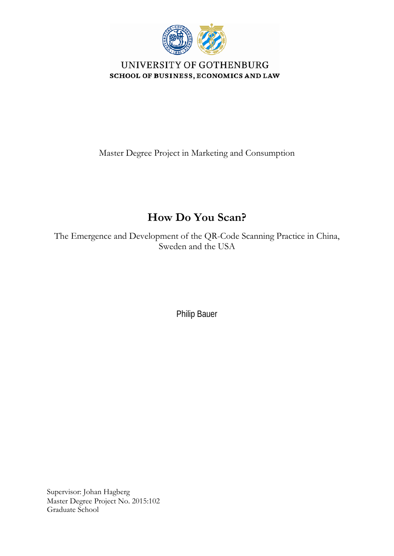

UNIVERSITY OF GOTHENBURG SCHOOL OF BUSINESS, ECONOMICS AND LAW

Master Degree Project in Marketing and Consumption

# **How Do You Scan?**

The Emergence and Development of the QR-Code Scanning Practice in China, Sweden and the USA

Philip Bauer

Supervisor: Johan Hagberg Master Degree Project No. 2015:102 Graduate School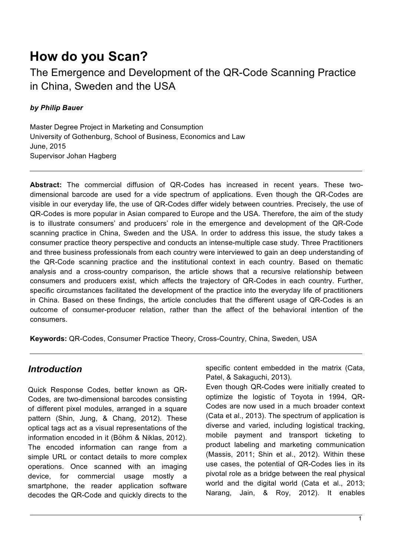# **How do you Scan?**

The Emergence and Development of the QR-Code Scanning Practice in China, Sweden and the USA

# *by Philip Bauer*

Master Degree Project in Marketing and Consumption University of Gothenburg, School of Business, Economics and Law June, 2015 Supervisor Johan Hagberg

**Abstract:** The commercial diffusion of QR-Codes has increased in recent years. These twodimensional barcode are used for a vide spectrum of applications. Even though the QR-Codes are visible in our everyday life, the use of QR-Codes differ widely between countries. Precisely, the use of QR-Codes is more popular in Asian compared to Europe and the USA. Therefore, the aim of the study is to illustrate consumers' and producers' role in the emergence and development of the QR-Code scanning practice in China, Sweden and the USA. In order to address this issue, the study takes a consumer practice theory perspective and conducts an intense-multiple case study. Three Practitioners and three business professionals from each country were interviewed to gain an deep understanding of the QR-Code scanning practice and the institutional context in each country. Based on thematic analysis and a cross-country comparison, the article shows that a recursive relationship between consumers and producers exist, which affects the trajectory of QR-Codes in each country. Further, specific circumstances facilitated the development of the practice into the everyday life of practitioners in China. Based on these findings, the article concludes that the different usage of QR-Codes is an outcome of consumer-producer relation, rather than the affect of the behavioral intention of the consumers.

**Keywords:** QR-Codes, Consumer Practice Theory, Cross-Country, China, Sweden, USA

# *Introduction*

Quick Response Codes, better known as QR-Codes, are two-dimensional barcodes consisting of different pixel modules, arranged in a square pattern (Shin, Jung, & Chang, 2012). These optical tags act as a visual representations of the information encoded in it (Böhm & Niklas, 2012). The encoded information can range from a simple URL or contact details to more complex operations. Once scanned with an imaging device, for commercial usage mostly a smartphone, the reader application software decodes the QR-Code and quickly directs to the specific content embedded in the matrix (Cata, Patel, & Sakaguchi, 2013).

Even though QR-Codes were initially created to optimize the logistic of Toyota in 1994, QR-Codes are now used in a much broader context (Cata et al., 2013). The spectrum of application is diverse and varied, including logistical tracking, mobile payment and transport ticketing to product labeling and marketing communication (Massis, 2011; Shin et al., 2012). Within these use cases, the potential of QR-Codes lies in its pivotal role as a bridge between the real physical world and the digital world (Cata et al., 2013; Narang, Jain, & Roy, 2012). It enables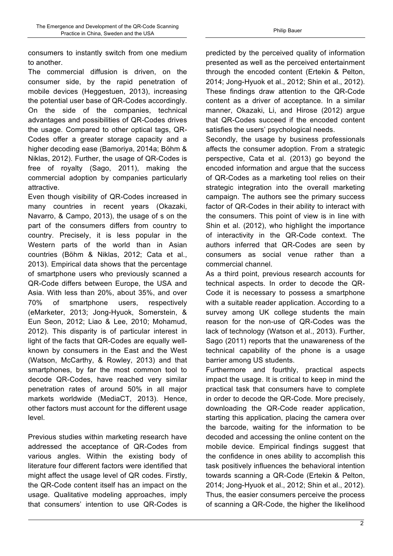consumers to instantly switch from one medium to another.

The commercial diffusion is driven, on the consumer side, by the rapid penetration of mobile devices (Heggestuen, 2013), increasing the potential user base of QR-Codes accordingly. On the side of the companies, technical advantages and possibilities of QR-Codes drives the usage. Compared to other optical tags, QR-Codes offer a greater storage capacity and a higher decoding ease (Bamoriya, 2014a; Böhm & Niklas, 2012). Further, the usage of QR-Codes is free of royalty (Sago, 2011), making the commercial adoption by companies particularly attractive.

Even though visibility of QR-Codes increased in many countries in recent years (Okazaki, Navarro, & Campo, 2013), the usage of s on the part of the consumers differs from country to country. Precisely, it is less popular in the Western parts of the world than in Asian countries (Böhm & Niklas, 2012; Cata et al., 2013). Empirical data shows that the percentage of smartphone users who previously scanned a QR-Code differs between Europe, the USA and Asia. With less than 20%, about 35%, and over 70% of smartphone users, respectively (eMarketer, 2013; Jong-Hyuok, Somerstein, & Eun Seon, 2012; Liao & Lee, 2010; Mohamud, 2012). This disparity is of particular interest in light of the facts that QR-Codes are equally wellknown by consumers in the East and the West (Watson, McCarthy, & Rowley, 2013) and that smartphones, by far the most common tool to decode QR-Codes, have reached very similar penetration rates of around 50% in all major markets worldwide (MediaCT, 2013). Hence, other factors must account for the different usage level.

Previous studies within marketing research have addressed the acceptance of QR-Codes from various angles. Within the existing body of literature four different factors were identified that might affect the usage level of QR codes. Firstly, the QR-Code content itself has an impact on the usage. Qualitative modeling approaches, imply that consumers' intention to use QR-Codes is

predicted by the perceived quality of information presented as well as the perceived entertainment through the encoded content (Ertekin & Pelton, 2014; Jong-Hyuok et al., 2012; Shin et al., 2012). These findings draw attention to the QR-Code content as a driver of acceptance. In a similar manner, Okazaki, Li, and Hirose (2012) argue that QR-Codes succeed if the encoded content satisfies the users' psychological needs.

Secondly, the usage by business professionals affects the consumer adoption. From a strategic perspective, Cata et al. (2013) go beyond the encoded information and argue that the success of QR-Codes as a marketing tool relies on their strategic integration into the overall marketing campaign. The authors see the primary success factor of QR-Codes in their ability to interact with the consumers. This point of view is in line with Shin et al. (2012), who highlight the importance of interactivity in the QR-Code context. The authors inferred that QR-Codes are seen by consumers as social venue rather than a commercial channel.

As a third point, previous research accounts for technical aspects. In order to decode the QR-Code it is necessary to possess a smartphone with a suitable reader application. According to a survey among UK college students the main reason for the non-use of QR-Codes was the lack of technology (Watson et al., 2013). Further, Sago (2011) reports that the unawareness of the technical capability of the phone is a usage barrier among US students.

Furthermore and fourthly, practical aspects impact the usage. It is critical to keep in mind the practical task that consumers have to complete in order to decode the QR-Code. More precisely, downloading the QR-Code reader application, starting this application, placing the camera over the barcode, waiting for the information to be decoded and accessing the online content on the mobile device. Empirical findings suggest that the confidence in ones ability to accomplish this task positively influences the behavioral intention towards scanning a QR-Code (Ertekin & Pelton, 2014; Jong-Hyuok et al., 2012; Shin et al., 2012). Thus, the easier consumers perceive the process of scanning a QR-Code, the higher the likelihood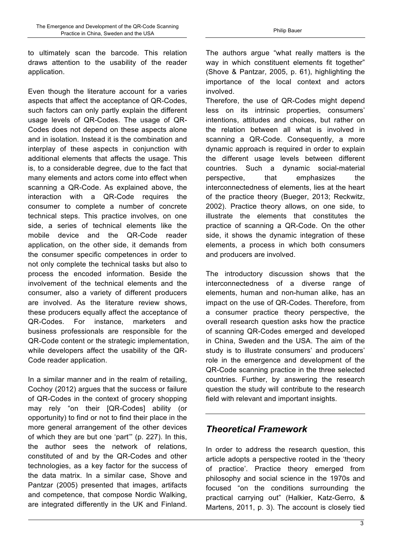to ultimately scan the barcode. This relation draws attention to the usability of the reader application.

Even though the literature account for a varies aspects that affect the acceptance of QR-Codes, such factors can only partly explain the different usage levels of QR-Codes. The usage of QR-Codes does not depend on these aspects alone and in isolation. Instead it is the combination and interplay of these aspects in conjunction with additional elements that affects the usage. This is, to a considerable degree, due to the fact that many elements and actors come into effect when scanning a QR-Code. As explained above, the interaction with a QR-Code requires the consumer to complete a number of concrete technical steps. This practice involves, on one side, a series of technical elements like the mobile device and the QR-Code reader application, on the other side, it demands from the consumer specific competences in order to not only complete the technical tasks but also to process the encoded information. Beside the involvement of the technical elements and the consumer, also a variety of different producers are involved. As the literature review shows, these producers equally affect the acceptance of QR-Codes. For instance, marketers and business professionals are responsible for the QR-Code content or the strategic implementation, while developers affect the usability of the QR-Code reader application.

In a similar manner and in the realm of retailing, Cochoy (2012) argues that the success or failure of QR-Codes in the context of grocery shopping may rely "on their [QR-Codes] ability (or opportunity) to find or not to find their place in the more general arrangement of the other devices of which they are but one 'part'" (p. 227). In this, the author sees the network of relations, constituted of and by the QR-Codes and other technologies, as a key factor for the success of the data matrix. In a similar case, Shove and Pantzar (2005) presented that images, artifacts and competence, that compose Nordic Walking, are integrated differently in the UK and Finland. The authors argue "what really matters is the way in which constituent elements fit together" (Shove & Pantzar, 2005, p. 61), highlighting the importance of the local context and actors involved.

Therefore, the use of QR-Codes might depend less on its intrinsic properties, consumers' intentions, attitudes and choices, but rather on the relation between all what is involved in scanning a QR-Code. Consequently, a more dynamic approach is required in order to explain the different usage levels between different countries. Such a dynamic social-material perspective, that emphasizes the interconnectedness of elements, lies at the heart of the practice theory (Bueger, 2013; Reckwitz, 2002). Practice theory allows, on one side, to illustrate the elements that constitutes the practice of scanning a QR-Code. On the other side, it shows the dynamic integration of these elements, a process in which both consumers and producers are involved.

The introductory discussion shows that the interconnectedness of a diverse range of elements, human and non-human alike, has an impact on the use of QR-Codes. Therefore, from a consumer practice theory perspective, the overall research question asks how the practice of scanning QR-Codes emerged and developed in China, Sweden and the USA. The aim of the study is to illustrate consumers' and producers' role in the emergence and development of the QR-Code scanning practice in the three selected countries. Further, by answering the research question the study will contribute to the research field with relevant and important insights.

# *Theoretical Framework*

In order to address the research question, this article adopts a perspective rooted in the 'theory of practice'. Practice theory emerged from philosophy and social science in the 1970s and focused "on the conditions surrounding the practical carrying out" (Halkier, Katz-Gerro, & Martens, 2011, p. 3). The account is closely tied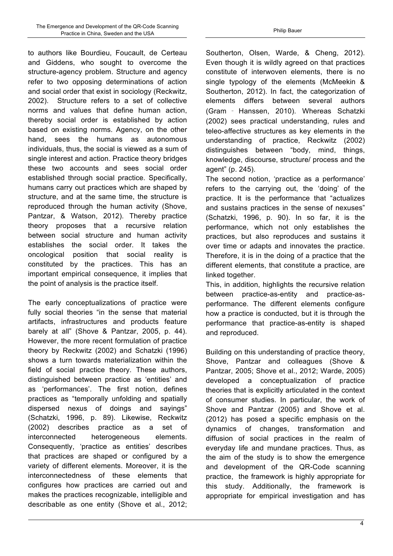to authors like Bourdieu, Foucault, de Certeau and Giddens, who sought to overcome the structure-agency problem. Structure and agency refer to two opposing determinations of action and social order that exist in sociology (Reckwitz, 2002). Structure refers to a set of collective norms and values that define human action, thereby social order is established by action based on existing norms. Agency, on the other hand, sees the humans as autonomous individuals, thus, the social is viewed as a sum of single interest and action. Practice theory bridges these two accounts and sees social order established through social practice. Specifically, humans carry out practices which are shaped by structure, and at the same time, the structure is reproduced through the human activity (Shove, Pantzar, & Watson, 2012). Thereby practice theory proposes that a recursive relation between social structure and human activity establishes the social order. It takes the oncological position that social reality is constituted by the practices. This has an important empirical consequence, it implies that the point of analysis is the practice itself.

The early conceptualizations of practice were fully social theories "in the sense that material artifacts, infrastructures and products feature barely at all" (Shove & Pantzar, 2005, p. 44). However, the more recent formulation of practice theory by Reckwitz (2002) and Schatzki (1996) shows a turn towards materialization within the field of social practice theory. These authors, distinguished between practice as 'entities' and as 'performances'. The first notion, defines practices as "temporally unfolding and spatially dispersed nexus of doings and sayings" (Schatzki, 1996, p. 89). Likewise, Reckwitz (2002) describes practice as a set of interconnected heterogeneous elements. Consequently, 'practice as entities' describes that practices are shaped or configured by a variety of different elements. Moreover, it is the interconnectedness of these elements that configures how practices are carried out and makes the practices recognizable, intelligible and describable as one entity (Shove et al., 2012;

Southerton, Olsen, Warde, & Cheng, 2012). Even though it is wildly agreed on that practices constitute of interwoven elements, there is no single typology of the elements (McMeekin & Southerton, 2012). In fact, the categorization of elements differs between several authors (Gram ‐ Hanssen, 2010). Whereas Schatzki (2002) sees practical understanding, rules and teleo-affective structures as key elements in the understanding of practice, Reckwitz (2002) distinguishes between "body, mind, things, knowledge, discourse, structure/ process and the agent" (p. 245).

The second notion, 'practice as a performance' refers to the carrying out, the 'doing' of the practice. It is the performance that "actualizes and sustains practices in the sense of nexuses" (Schatzki, 1996, p. 90). In so far, it is the performance, which not only establishes the practices, but also reproduces and sustains it over time or adapts and innovates the practice. Therefore, it is in the doing of a practice that the different elements, that constitute a practice, are linked together.

This, in addition, highlights the recursive relation between practice-as-entity and practice-asperformance. The different elements configure how a practice is conducted, but it is through the performance that practice-as-entity is shaped and reproduced.

Building on this understanding of practice theory, Shove, Pantzar and colleagues (Shove & Pantzar, 2005; Shove et al., 2012; Warde, 2005) developed a conceptualization of practice theories that is explicitly articulated in the context of consumer studies. In particular, the work of Shove and Pantzar (2005) and Shove et al. (2012) has posed a specific emphasis on the dynamics of changes, transformation and diffusion of social practices in the realm of everyday life and mundane practices. Thus, as the aim of the study is to show the emergence and development of the QR-Code scanning practice, the framework is highly appropriate for this study. Additionally, the framework is appropriate for empirical investigation and has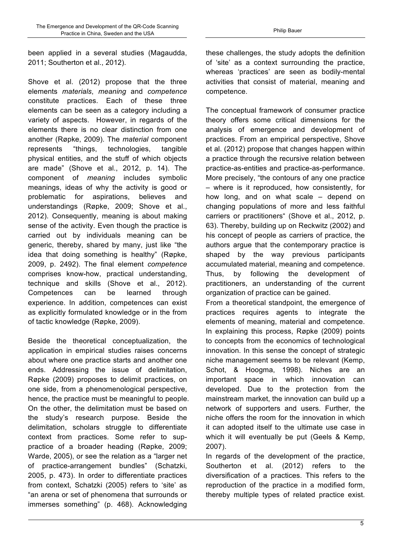been applied in a several studies (Magaudda, 2011; Southerton et al., 2012).

Shove et al. (2012) propose that the three elements *materials*, *meaning* and *competence* constitute practices. Each of these three elements can be seen as a category including a variety of aspects. However, in regards of the elements there is no clear distinction from one another (Røpke, 2009). The *material* component represents "things, technologies, tangible physical entities, and the stuff of which objects are made" (Shove et al., 2012, p. 14). The component of *meaning* includes symbolic meanings, ideas of why the activity is good or problematic for aspirations, believes and understandings (Røpke, 2009; Shove et al., 2012). Consequently, meaning is about making sense of the activity. Even though the practice is carried out by individuals meaning can be generic, thereby, shared by many, just like "the idea that doing something is healthy" (Røpke, 2009, p. 2492). The final element *competence* comprises know-how, practical understanding, technique and skills (Shove et al., 2012). Competences can be learned through experience. In addition, competences can exist as explicitly formulated knowledge or in the from of tactic knowledge (Røpke, 2009).

Beside the theoretical conceptualization, the application in empirical studies raises concerns about where one practice starts and another one ends. Addressing the issue of delimitation, Røpke (2009) proposes to delimit practices, on one side, from a phenomenological perspective, hence, the practice must be meaningful to people. On the other, the delimitation must be based on the study's research purpose. Beside the delimitation, scholars struggle to differentiate context from practices. Some refer to suppractice of a broader heading (Røpke, 2009; Warde, 2005), or see the relation as a "larger net of practice-arrangement bundles" (Schatzki, 2005, p. 473). In order to differentiate practices from context, Schatzki (2005) refers to 'site' as "an arena or set of phenomena that surrounds or immerses something" (p. 468). Acknowledging

these challenges, the study adopts the definition of 'site' as a context surrounding the practice, whereas 'practices' are seen as bodily-mental activities that consist of material, meaning and competence.

The conceptual framework of consumer practice theory offers some critical dimensions for the analysis of emergence and development of practices. From an empirical perspective, Shove et al. (2012) propose that changes happen within a practice through the recursive relation between practice-as-entities and practice-as-performance. More precisely, "the contours of any one practice – where is it reproduced, how consistently, for how long, and on what scale – depend on changing populations of more and less faithful carriers or practitioners" (Shove et al., 2012, p. 63). Thereby, building up on Reckwitz (2002) and his concept of people as carriers of practice, the authors argue that the contemporary practice is shaped by the way previous participants accumulated material, meaning and competence. Thus, by following the development of practitioners, an understanding of the current organization of practice can be gained.

From a theoretical standpoint, the emergence of practices requires agents to integrate the elements of meaning, material and competence. In explaining this process, Røpke (2009) points to concepts from the economics of technological innovation. In this sense the concept of strategic niche management seems to be relevant (Kemp, Schot, & Hoogma, 1998). Niches are an important space in which innovation can developed. Due to the protection from the mainstream market, the innovation can build up a network of supporters and users. Further, the niche offers the room for the innovation in which it can adopted itself to the ultimate use case in which it will eventually be put (Geels & Kemp, 2007).

In regards of the development of the practice, Southerton et al. (2012) refers to the diversification of a practices. This refers to the reproduction of the practice in a modified form, thereby multiple types of related practice exist.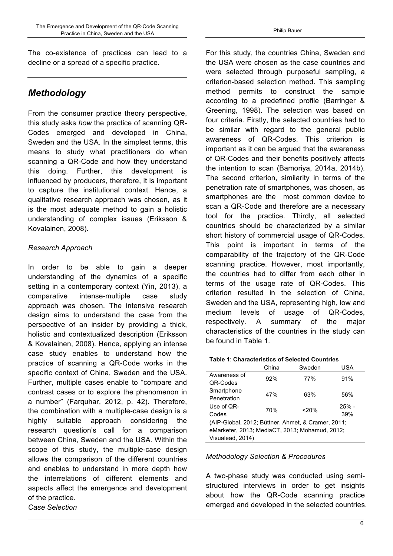The co-existence of practices can lead to a decline or a spread of a specific practice.

# *Methodology*

From the consumer practice theory perspective, this study asks *how* the practice of scanning QR-Codes emerged and developed in China, Sweden and the USA. In the simplest terms, this means to study what practitioners do when scanning a QR-Code and how they understand this doing. Further, this development is influenced by producers, therefore, it is important to capture the institutional context. Hence, a qualitative research approach was chosen, as it is the most adequate method to gain a holistic understanding of complex issues (Eriksson & Kovalainen, 2008).

# *Research Approach*

In order to be able to gain a deeper understanding of the dynamics of a specific setting in a contemporary context (Yin, 2013), a comparative intense-multiple case study approach was chosen. The intensive research design aims to understand the case from the perspective of an insider by providing a thick, holistic and contextualized description (Eriksson & Kovalainen, 2008). Hence, applying an intense case study enables to understand how the practice of scanning a QR-Code works in the specific context of China, Sweden and the USA. Further, multiple cases enable to "compare and contrast cases or to explore the phenomenon in a number" (Farquhar, 2012, p. 42). Therefore, the combination with a multiple-case design is a highly suitable approach considering the research question's call for a comparison between China, Sweden and the USA. Within the scope of this study, the multiple-case design allows the comparison of the different countries and enables to understand in more depth how the interrelations of different elements and aspects affect the emergence and development of the practice. *Case Selection*

For this study, the countries China, Sweden and the USA were chosen as the case countries and were selected through purposeful sampling, a criterion-based selection method. This sampling method permits to construct the sample according to a predefined profile (Barringer & Greening, 1998). The selection was based on four criteria. Firstly, the selected countries had to be similar with regard to the general public awareness of QR-Codes. This criterion is important as it can be argued that the awareness of QR-Codes and their benefits positively affects the intention to scan (Bamoriya, 2014a, 2014b). The second criterion, similarity in terms of the penetration rate of smartphones, was chosen, as smartphones are the most common device to scan a QR-Code and therefore are a necessary tool for the practice. Thirdly, all selected countries should be characterized by a similar short history of commercial usage of QR-Codes. This point is important in terms of the comparability of the trajectory of the QR-Code scanning practice. However, most importantly, the countries had to differ from each other in terms of the usage rate of QR-Codes. This criterion resulted in the selection of China, Sweden and the USA, representing high, low and medium levels of usage of QR-Codes, respectively. A summary of the major characteristics of the countries in the study can be found in Table 1.

#### **Table 1**: **Characteristics of Selected Countries**

|              | China | Sweden   | USA     |
|--------------|-------|----------|---------|
| Awareness of | 92%   | 77%      | 91%     |
| QR-Codes     |       |          |         |
| Smartphone   | 47%   |          |         |
| Penetration  |       | 63%      | 56%     |
| Use of QR-   |       |          | $25% -$ |
| Codes        | 70%   | < 20%    | 39%     |
| ----         |       | . .<br>. |         |

(AIP-Global, 2012; Büttner, Ahmet, & Cramer, 2011; eMarketer, 2013; MediaCT, 2013; Mohamud, 2012; Visualead, 2014)

#### *Methodology Selection & Procedures*

A two-phase study was conducted using semistructured interviews in order to get insights about how the QR-Code scanning practice emerged and developed in the selected countries.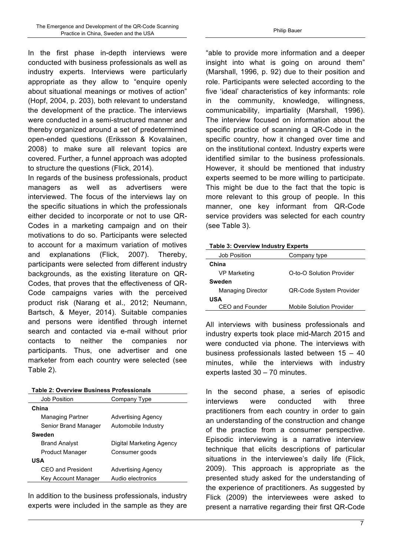In the first phase in-depth interviews were conducted with business professionals as well as industry experts. Interviews were particularly appropriate as they allow to "enquire openly about situational meanings or motives of action" (Hopf, 2004, p. 203), both relevant to understand the development of the practice. The interviews were conducted in a semi-structured manner and thereby organized around a set of predetermined open-ended questions (Eriksson & Kovalainen, 2008) to make sure all relevant topics are covered. Further, a funnel approach was adopted to structure the questions (Flick, 2014).

In regards of the business professionals, product managers as well as advertisers were interviewed. The focus of the interviews lay on the specific situations in which the professionals either decided to incorporate or not to use QR-Codes in a marketing campaign and on their motivations to do so. Participants were selected to account for a maximum variation of motives and explanations (Flick, 2007). Thereby, participants were selected from different industry backgrounds, as the existing literature on QR-Codes, that proves that the effectiveness of QR-Code campaigns varies with the perceived product risk (Narang et al., 2012; Neumann, Bartsch, & Meyer, 2014). Suitable companies and persons were identified through internet search and contacted via e-mail without prior contacts to neither the companies nor participants. Thus, one advertiser and one marketer from each country were selected (see Table 2).

| <b>Table 2: Overview Business Professionals</b> |                          |  |  |  |
|-------------------------------------------------|--------------------------|--|--|--|
| Job Position                                    | Company Type             |  |  |  |
| China                                           |                          |  |  |  |
| Managing Partner                                | Advertising Agency       |  |  |  |
| Senior Brand Manager                            | Automobile Industry      |  |  |  |
| <b>Sweden</b>                                   |                          |  |  |  |
| <b>Brand Analyst</b>                            | Digital Marketing Agency |  |  |  |
| Product Manager                                 | Consumer goods           |  |  |  |
| USA                                             |                          |  |  |  |
| <b>CEO and President</b>                        | Advertising Agency       |  |  |  |
| Key Account Manager                             | Audio electronics        |  |  |  |

In addition to the business professionals, industry experts were included in the sample as they are

"able to provide more information and a deeper insight into what is going on around them" (Marshall, 1996, p. 92) due to their position and role. Participants were selected according to the five 'ideal' characteristics of key informants: role in the community, knowledge, willingness, communicability, impartiality (Marshall, 1996). The interview focused on information about the specific practice of scanning a QR-Code in the specific country, how it changed over time and on the institutional context. Industry experts were identified similar to the business professionals. However, it should be mentioned that industry experts seemed to be more willing to participate. This might be due to the fact that the topic is more relevant to this group of people. In this manner, one key informant from QR-Code service providers was selected for each country (see Table 3).

|  |  | <b>Table 3: Overview Industry Experts</b> |
|--|--|-------------------------------------------|
|  |  |                                           |

| Job Position             | Company type                    |
|--------------------------|---------------------------------|
| China                    |                                 |
| <b>VP Marketing</b>      | O-to-O Solution Provider        |
| <b>Sweden</b>            |                                 |
| <b>Managing Director</b> | <b>QR-Code System Provider</b>  |
| USA                      |                                 |
| CEO and Founder          | <b>Mobile Solution Provider</b> |

All interviews with business professionals and industry experts took place mid-March 2015 and were conducted via phone. The interviews with business professionals lasted between 15 – 40 minutes, while the interviews with industry experts lasted 30 – 70 minutes.

In the second phase, a series of episodic interviews were conducted with three practitioners from each country in order to gain an understanding of the construction and change of the practice from a consumer perspective. Episodic interviewing is a narrative interview technique that elicits descriptions of particular situations in the interviewee's daily life (Flick, 2009). This approach is appropriate as the presented study asked for the understanding of the experience of practitioners. As suggested by Flick (2009) the interviewees were asked to present a narrative regarding their first QR-Code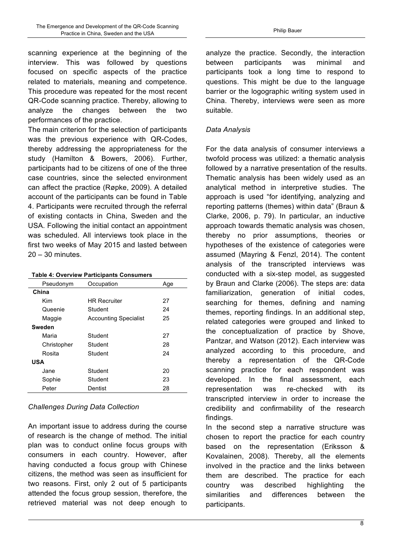scanning experience at the beginning of the interview. This was followed by questions focused on specific aspects of the practice related to materials, meaning and competence. This procedure was repeated for the most recent QR-Code scanning practice. Thereby, allowing to analyze the changes between the two performances of the practice.

The main criterion for the selection of participants was the previous experience with QR-Codes, thereby addressing the appropriateness for the study (Hamilton & Bowers, 2006). Further, participants had to be citizens of one of the three case countries, since the selected environment can affect the practice (Røpke, 2009). A detailed account of the participants can be found in Table 4. Participants were recruited through the referral of existing contacts in China, Sweden and the USA. Following the initial contact an appointment was scheduled. All interviews took place in the first two weeks of May 2015 and lasted between 20 – 30 minutes.

#### **Table 4: Overview Participants Consumers**

| Pseudonym   | Occupation                   | Age |
|-------------|------------------------------|-----|
| China       |                              |     |
| Kim         | <b>HR Recruiter</b>          | 27  |
| Queenie     | Student                      | 24  |
| Maggie      | <b>Accounting Specialist</b> | 25  |
| Sweden      |                              |     |
| Maria       | Student                      | 27  |
| Christopher | Student                      | 28  |
| Rosita      | Student                      | 24  |
| <b>USA</b>  |                              |     |
| Jane        | Student                      | 20  |
| Sophie      | Student                      | 23  |
| Peter       | Dentist                      | 28  |

#### *Challenges During Data Collection*

An important issue to address during the course of research is the change of method. The initial plan was to conduct online focus groups with consumers in each country. However, after having conducted a focus group with Chinese citizens, the method was seen as insufficient for two reasons. First, only 2 out of 5 participants attended the focus group session, therefore, the retrieved material was not deep enough to analyze the practice. Secondly, the interaction between participants was minimal and participants took a long time to respond to questions. This might be due to the language barrier or the logographic writing system used in China. Thereby, interviews were seen as more suitable.

#### *Data Analysis*

For the data analysis of consumer interviews a twofold process was utilized: a thematic analysis followed by a narrative presentation of the results. Thematic analysis has been widely used as an analytical method in interpretive studies. The approach is used "for identifying, analyzing and reporting patterns (themes) within data" (Braun & Clarke, 2006, p. 79). In particular, an inductive approach towards thematic analysis was chosen, thereby no prior assumptions, theories or hypotheses of the existence of categories were assumed (Mayring & Fenzl, 2014). The content analysis of the transcripted interviews was conducted with a six-step model, as suggested by Braun and Clarke (2006). The steps are: data familiarization, generation of initial codes, searching for themes, defining and naming themes, reporting findings. In an additional step, related categories were grouped and linked to the conceptualization of practice by Shove, Pantzar, and Watson (2012). Each interview was analyzed according to this procedure, and thereby a representation of the QR-Code scanning practice for each respondent was developed. In the final assessment, each representation was re-checked with its transcripted interview in order to increase the credibility and confirmability of the research findings.

In the second step a narrative structure was chosen to report the practice for each country based on the representation (Eriksson & Kovalainen, 2008). Thereby, all the elements involved in the practice and the links between them are described. The practice for each country was described highlighting the similarities and differences between the participants.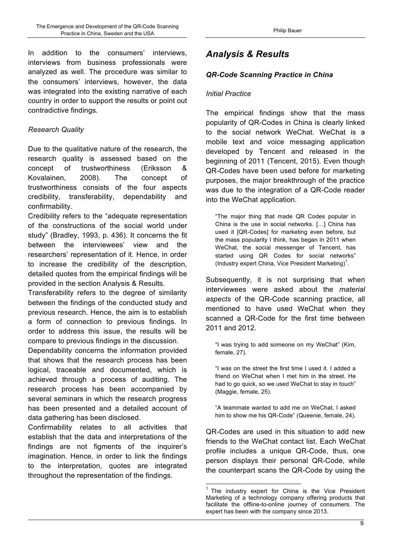In addition to the consumers' interviews, interviews from business professionals were analyzed as well. The procedure was similar to the consumers' interviews, however, the data was integrated into the existing narrative of each country in order to support the results or point out contradictive findings.

# *Research Quality*

Due to the qualitative nature of the research, the research quality is assessed based on the concept of trustworthiness (Eriksson & Kovalainen, 2008). The concept of trustworthiness consists of the four aspects credibility, transferability, dependability and confirmability.

Credibility refers to the "adequate representation of the constructions of the social world under study" (Bradley, 1993, p. 436). It concerns the fit between the interviewees' view and the researchers' representation of it. Hence, in order to increase the credibility of the description, detailed quotes from the empirical findings will be provided in the section Analysis & Results.

Transferability refers to the degree of similarity between the findings of the conducted study and previous research. Hence, the aim is to establish a form of connection to previous findings. In order to address this issue, the results will be compare to previous findings in the discussion.

Dependability concerns the information provided that shows that the research process has been logical, traceable and documented, which is achieved through a process of auditing. The research process has been accompanied by several seminars in which the research progress has been presented and a detailed account of data gathering has been disclosed.

Confirmability relates to all activities that establish that the data and interpretations of the findings are not figments of the inquirer's imagination. Hence, in order to link the findings to the interpretation, quotes are integrated throughout the representation of the findings.

# *Analysis & Results*

# *QR-Code Scanning Practice in China*

## *Initial Practice*

The empirical findings show that the mass popularity of QR-Codes in China is clearly linked to the social network WeChat. WeChat is a mobile text and voice messaging application developed by Tencent and released in the beginning of 2011 (Tencent, 2015). Even though QR-Codes have been used before for marketing purposes, the major breakthrough of the practice was due to the integration of a QR-Code reader into the WeChat application.

"The major thing that made QR Codes popular in China is the use in social networks. […] China has used it [QR-Codes] for marketing even before, but the mass popularity I think, has began in 2011 when WeChat, the social messenger of Tencent, has started using QR Codes for social networks" (Industry expert China, Vice President Marketing)<sup>1</sup>.

Subsequently, it is not surprising that when interviewees were asked about the *material aspects* of the QR-Code scanning practice, all mentioned to have used WeChat when they scanned a QR-Code for the first time between 2011 and 2012.

"I was trying to add someone on my WeChat" (Kim, female, 27).

"I was on the street the first time I used it. I added a friend on WeChat when I met him in the street. He had to go quick, so we used WeChat to stay in touch" (Maggie, female, 25).

"A teammate wanted to add me on WeChat, I asked him to show me his QR-Code" (Queenie, female, 24).

QR-Codes are used in this situation to add new friends to the WeChat contact list. Each WeChat profile includes a unique QR-Code, thus, one person displays their personal QR-Code, while the counterpart scans the QR-Code by using the

 $1$  The industry expert for China is the Vice President Marketing of a technology company offering products that facilitate the offline-to-online journey of consumers. The expert has been with the company since 2013.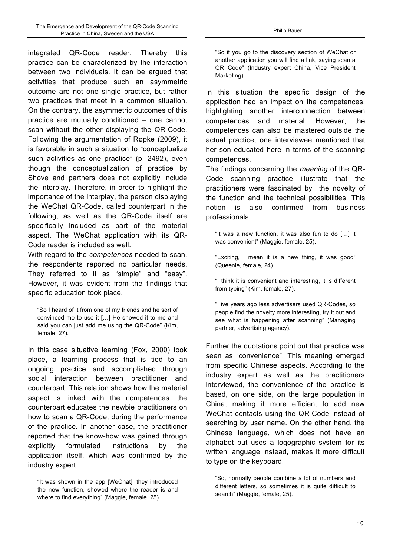integrated QR-Code reader. Thereby this practice can be characterized by the interaction between two individuals. It can be argued that activities that produce such an asymmetric outcome are not one single practice, but rather two practices that meet in a common situation. On the contrary, the asymmetric outcomes of this practice are mutually conditioned – one cannot scan without the other displaying the QR-Code. Following the argumentation of Røpke (2009), it is favorable in such a situation to "conceptualize such activities as one practice" (p. 2492), even though the conceptualization of practice by Shove and partners does not explicitly include the interplay. Therefore, in order to highlight the importance of the interplay, the person displaying the WeChat QR-Code, called counterpart in the following, as well as the QR-Code itself are specifically included as part of the material aspect. The WeChat application with its QR-Code reader is included as well.

With regard to the *competences* needed to scan, the respondents reported no particular needs. They referred to it as "simple" and "easy". However, it was evident from the findings that specific education took place.

"So I heard of it from one of my friends and he sort of convinced me to use it […] He showed it to me and said you can just add me using the QR-Code" (Kim, female, 27).

In this case situative learning (Fox, 2000) took place, a learning process that is tied to an ongoing practice and accomplished through social interaction between practitioner and counterpart. This relation shows how the material aspect is linked with the competences: the counterpart educates the newbie practitioners on how to scan a QR-Code, during the performance of the practice. In another case, the practitioner reported that the know-how was gained through explicitly formulated instructions by the application itself, which was confirmed by the industry expert.

"So if you go to the discovery section of WeChat or another application you will find a link, saying scan a QR Code" (Industry expert China, Vice President Marketing).

In this situation the specific design of the application had an impact on the competences, highlighting another interconnection between competences and material. However, the competences can also be mastered outside the actual practice; one interviewee mentioned that her son educated here in terms of the scanning competences.

The findings concerning the *meaning* of the QR-Code scanning practice illustrate that the practitioners were fascinated by the novelty of the function and the technical possibilities. This notion is also confirmed from business professionals.

"It was a new function, it was also fun to do […] It was convenient" (Maggie, female, 25).

"Exciting, I mean it is a new thing, it was good" (Queenie, female, 24).

"I think it is convenient and interesting, it is different from typing" (Kim, female, 27).

"Five years ago less advertisers used QR-Codes, so people find the novelty more interesting, try it out and see what is happening after scanning" (Managing partner, advertising agency).

Further the quotations point out that practice was seen as "convenience". This meaning emerged from specific Chinese aspects. According to the industry expert as well as the practitioners interviewed, the convenience of the practice is based, on one side, on the large population in China, making it more efficient to add new WeChat contacts using the QR-Code instead of searching by user name. On the other hand, the Chinese language, which does not have an alphabet but uses a logographic system for its written language instead, makes it more difficult to type on the keyboard.

"So, normally people combine a lot of numbers and different letters, so sometimes it is quite difficult to search" (Maggie, female, 25).

<sup>&</sup>quot;It was shown in the app [WeChat], they introduced the new function, showed where the reader is and where to find everything" (Maggie, female, 25).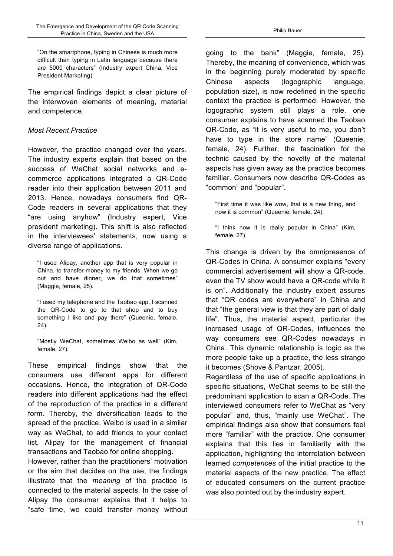"On the smartphone, typing in Chinese is much more difficult than typing in Latin language because there are 5000 characters" (Industry expert China, Vice President Marketing).

The empirical findings depict a clear picture of the interwoven elements of meaning, material and competence.

## *Most Recent Practice*

However, the practice changed over the years. The industry experts explain that based on the success of WeChat social networks and ecommerce applications integrated a QR-Code reader into their application between 2011 and 2013. Hence, nowadays consumers find QR-Code readers in several applications that they "are using anyhow" (Industry expert, Vice president marketing). This shift is also reflected in the interviewees' statements, now using a diverse range of applications.

"I used Alipay, another app that is very popular in China, to transfer money to my friends. When we go out and have dinner, we do that sometimes" (Maggie, female, 25).

"I used my telephone and the Taobao app. I scanned the QR-Code to go to that shop and to buy something I like and pay there" (Queenie, female, 24).

"Mostly WeChat, sometimes Weibo as well" (Kim, female, 27).

These empirical findings show that the consumers use different apps for different occasions. Hence, the integration of QR-Code readers into different applications had the effect of the reproduction of the practice in a different form. Thereby, the diversification leads to the spread of the practice. Weibo is used in a similar way as WeChat, to add friends to your contact list, Alipay for the management of financial transactions and Taobao for online shopping.

However, rather than the practitioners' motivation or the aim that decides on the use, the findings illustrate that the *meaning* of the practice is connected to the material aspects. In the case of Alipay the consumer explains that it helps to "safe time, we could transfer money without going to the bank" (Maggie, female, 25). Thereby, the meaning of convenience, which was in the beginning purely moderated by specific Chinese aspects (logographic language, population size), is now redefined in the specific context the practice is performed. However, the logographic system still plays a role, one consumer explains to have scanned the Taobao QR-Code, as "it is very useful to me, you don't have to type in the store name" (Queenie, female, 24). Further, the fascination for the technic caused by the novelty of the material aspects has given away as the practice becomes familiar. Consumers now describe QR-Codes as "common" and "popular".

"First time it was like wow, that is a new thing, and now it is common" (Queenie, female, 24).

"I think now it is really popular in China" (Kim, female, 27).

This change is driven by the omnipresence of QR-Codes in China. A consumer explains "every commercial advertisement will show a QR-code, even the TV show would have a QR-code while it is on". Additionally the industry expert assures that "QR codes are everywhere" in China and that "the general view is that they are part of daily life". Thus, the material aspect, particular the increased usage of QR-Codes, influences the way consumers see QR-Codes nowadays in China. This dynamic relationship is logic as the more people take up a practice, the less strange it becomes (Shove & Pantzar, 2005).

Regardless of the use of specific applications in specific situations, WeChat seems to be still the predominant application to scan a QR-Code. The interviewed consumers refer to WeChat as "very popular" and, thus, "mainly use WeChat". The empirical findings also show that consumers feel more "familiar" with the practice. One consumer explains that this lies in familiarity with the application, highlighting the interrelation between learned *competences* of the initial practice to the material aspects of the new practice. The effect of educated consumers on the current practice was also pointed out by the industry expert.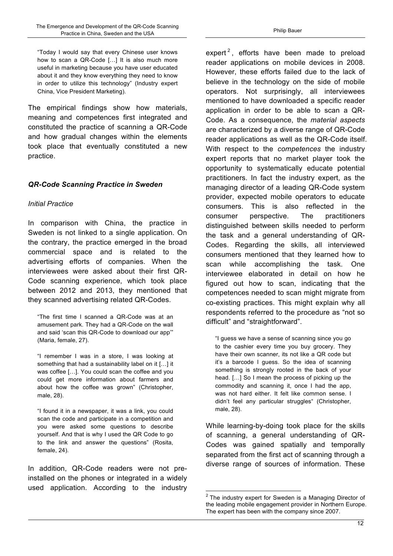"Today I would say that every Chinese user knows how to scan a QR-Code […] It is also much more useful in marketing because you have user educated about it and they know everything they need to know in order to utilize this technology" (Industry expert China, Vice President Marketing).

The empirical findings show how materials, meaning and competences first integrated and constituted the practice of scanning a QR-Code and how gradual changes within the elements took place that eventually constituted a new practice.

## *QR-Code Scanning Practice in Sweden*

#### *Initial Practice*

In comparison with China, the practice in Sweden is not linked to a single application. On the contrary, the practice emerged in the broad commercial space and is related to the advertising efforts of companies. When the interviewees were asked about their first QR-Code scanning experience, which took place between 2012 and 2013, they mentioned that they scanned advertising related QR-Codes.

"The first time I scanned a QR-Code was at an amusement park. They had a QR-Code on the wall and said 'scan this QR-Code to download our app'" (Maria, female, 27).

"I remember I was in a store, I was looking at something that had a sustainability label on it […] it was coffee […]. You could scan the coffee and you could get more information about farmers and about how the coffee was grown" (Christopher, male, 28).

"I found it in a newspaper, it was a link, you could scan the code and participate in a competition and you were asked some questions to describe yourself. And that is why I used the QR Code to go to the link and answer the questions" (Rosita, female, 24).

In addition, QR-Code readers were not preinstalled on the phones or integrated in a widely used application. According to the industry

expert<sup>2</sup>, efforts have been made to preload reader applications on mobile devices in 2008. However, these efforts failed due to the lack of believe in the technology on the side of mobile operators. Not surprisingly, all interviewees mentioned to have downloaded a specific reader application in order to be able to scan a QR-Code. As a consequence, the *material aspects* are characterized by a diverse range of QR-Code reader applications as well as the QR-Code itself. With respect to the *competences* the industry expert reports that no market player took the opportunity to systematically educate potential practitioners. In fact the industry expert, as the managing director of a leading QR-Code system provider, expected mobile operators to educate consumers. This is also reflected in the consumer perspective. The practitioners distinguished between skills needed to perform the task and a general understanding of QR-Codes. Regarding the skills, all interviewed consumers mentioned that they learned how to scan while accomplishing the task. One interviewee elaborated in detail on how he figured out how to scan, indicating that the competences needed to scan might migrate from co-existing practices. This might explain why all respondents referred to the procedure as "not so difficult" and "straightforward".

"I guess we have a sense of scanning since you go to the cashier every time you buy grocery. They have their own scanner, its not like a QR code but it's a barcode I guess. So the idea of scanning something is strongly rooted in the back of your head. […] So I mean the process of picking up the commodity and scanning it, once I had the app, was not hard either. It felt like common sense. I didn't feel any particular struggles" (Christopher, male, 28).

While learning-by-doing took place for the skills of scanning, a general understanding of QR-Codes was gained spatially and temporally separated from the first act of scanning through a diverse range of sources of information. These

 $2$  The industry expert for Sweden is a Managing Director of the leading mobile engagement provider in Northern Europe. The expert has been with the company since 2007.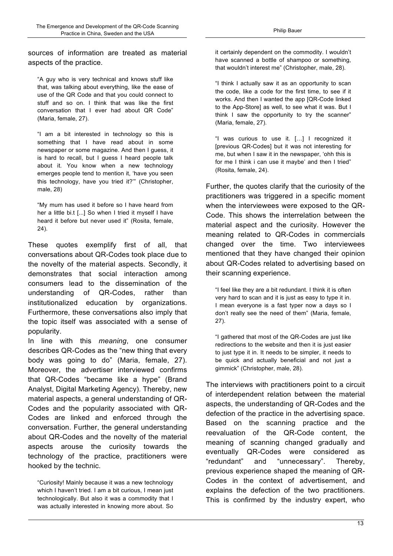sources of information are treated as material aspects of the practice.

"A guy who is very technical and knows stuff like that, was talking about everything, like the ease of use of the QR Code and that you could connect to stuff and so on. I think that was like the first conversation that I ever had about QR Code" (Maria, female, 27).

"I am a bit interested in technology so this is something that I have read about in some newspaper or some magazine. And then I guess, it is hard to recall, but I guess I heard people talk about it. You know when a new technology emerges people tend to mention it, 'have you seen this technology, have you tried it?'" (Christopher, male, 28)

"My mum has used it before so I have heard from her a little bi.t [...] So when I tried it myself I have heard it before but never used it" (Rosita, female, 24).

These quotes exemplify first of all, that conversations about QR-Codes took place due to the novelty of the material aspects. Secondly, it demonstrates that social interaction among consumers lead to the dissemination of the understanding of QR-Codes, rather than institutionalized education by organizations. Furthermore, these conversations also imply that the topic itself was associated with a sense of popularity.

In line with this *meaning*, one consumer describes QR-Codes as the "new thing that every body was going to do" (Maria, female, 27). Moreover, the advertiser interviewed confirms that QR-Codes "became like a hype" (Brand Analyst, Digital Marketing Agency). Thereby, new material aspects, a general understanding of QR-Codes and the popularity associated with QR-Codes are linked and enforced through the conversation. Further, the general understanding about QR-Codes and the novelty of the material aspects arouse the curiosity towards the technology of the practice, practitioners were hooked by the technic.

"Curiosity! Mainly because it was a new technology which I haven't tried. I am a bit curious, I mean just technologically. But also it was a commodity that I was actually interested in knowing more about. So

it certainly dependent on the commodity. I wouldn't have scanned a bottle of shampoo or something, that wouldn't interest me" (Christopher, male, 28).

"I think I actually saw it as an opportunity to scan the code, like a code for the first time, to see if it works. And then I wanted the app [QR-Code linked to the App-Store] as well, to see what it was. But I think I saw the opportunity to try the scanner" (Maria, female, 27).

"I was curious to use it. […] I recognized it [previous QR-Codes] but it was not interesting for me, but when I saw it in the newspaper, 'ohh this is for me I think i can use it maybe' and then I tried" (Rosita, female, 24).

Further, the quotes clarify that the curiosity of the practitioners was triggered in a specific moment when the interviewees were exposed to the QR-Code. This shows the interrelation between the material aspect and the curiosity. However the meaning related to QR-Codes in commercials changed over the time. Two interviewees mentioned that they have changed their opinion about QR-Codes related to advertising based on their scanning experience.

"I feel like they are a bit redundant. I think it is often very hard to scan and it is just as easy to type it in. I mean everyone is a fast typer now a days so I don't really see the need of them" (Maria, female, 27).

"I gathered that most of the QR-Codes are just like redirections to the website and then it is just easier to just type it in. It needs to be simpler, it needs to be quick and actually beneficial and not just a gimmick" (Christopher, male, 28).

The interviews with practitioners point to a circuit of interdependent relation between the material aspects, the understanding of QR-Codes and the defection of the practice in the advertising space. Based on the scanning practice and the reevaluation of the QR-Code content, the meaning of scanning changed gradually and eventually QR-Codes were considered as "redundant" and "unnecessary". Thereby, previous experience shaped the meaning of QR-Codes in the context of advertisement, and explains the defection of the two practitioners. This is confirmed by the industry expert, who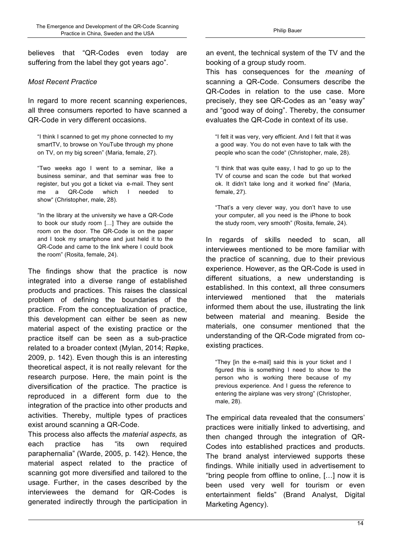believes that "QR-Codes even today are suffering from the label they got years ago".

#### *Most Recent Practice*

In regard to more recent scanning experiences, all three consumers reported to have scanned a QR-Code in very different occasions.

"I think I scanned to get my phone connected to my smartTV, to browse on YouTube through my phone on TV, on my big screen" (Maria, female, 27).

"Two weeks ago I went to a seminar, like a business seminar, and that seminar was free to register, but you got a ticket via e-mail. They sent me a QR-Code which I needed to show" (Christopher, male, 28).

"In the library at the university we have a QR-Code to book our study room […] They are outside the room on the door. The QR-Code is on the paper and I took my smartphone and just held it to the QR-Code and came to the link where I could book the room" (Rosita, female, 24).

The findings show that the practice is now integrated into a diverse range of established products and practices. This raises the classical problem of defining the boundaries of the practice. From the conceptualization of practice, this development can either be seen as new material aspect of the existing practice or the practice itself can be seen as a sub-practice related to a broader context (Mylan, 2014; Røpke, 2009, p. 142). Even though this is an interesting theoretical aspect, it is not really relevant for the research purpose. Here, the main point is the diversification of the practice. The practice is reproduced in a different form due to the integration of the practice into other products and activities. Thereby, multiple types of practices exist around scanning a QR-Code.

This process also affects the *material aspects,* as each practice has "its own required paraphernalia" (Warde, 2005, p. 142). Hence, the material aspect related to the practice of scanning got more diversified and tailored to the usage. Further, in the cases described by the interviewees the demand for QR-Codes is generated indirectly through the participation in an event, the technical system of the TV and the booking of a group study room.

This has consequences for the *meaning* of scanning a QR-Code. Consumers describe the QR-Codes in relation to the use case. More precisely, they see QR-Codes as an "easy way" and "good way of doing". Thereby, the consumer evaluates the QR-Code in context of its use.

"I felt it was very, very efficient. And I felt that it was a good way. You do not even have to talk with the people who scan the code" (Christopher, male, 28).

"I think that was quite easy, I had to go up to the TV of course and scan the code but that worked ok. It didn't take long and it worked fine" (Maria, female, 27).

"That's a very clever way, you don't have to use your computer, all you need is the iPhone to book the study room, very smooth" (Rosita, female, 24).

In regards of skills needed to scan, all interviewees mentioned to be more familiar with the practice of scanning, due to their previous experience. However, as the QR-Code is used in different situations, a new understanding is established. In this context, all three consumers interviewed mentioned that the materials informed them about the use, illustrating the link between material and meaning. Beside the materials, one consumer mentioned that the understanding of the QR-Code migrated from coexisting practices.

"They [in the e-mail] said this is your ticket and I figured this is something I need to show to the person who is working there because of my previous experience. And I guess the reference to entering the airplane was very strong" (Christopher, male, 28).

The empirical data revealed that the consumers' practices were initially linked to advertising, and then changed through the integration of QR-Codes into established practices and products. The brand analyst interviewed supports these findings. While initially used in advertisement to "bring people from offline to online, […] now it is been used very well for tourism or even entertainment fields" (Brand Analyst, Digital Marketing Agency).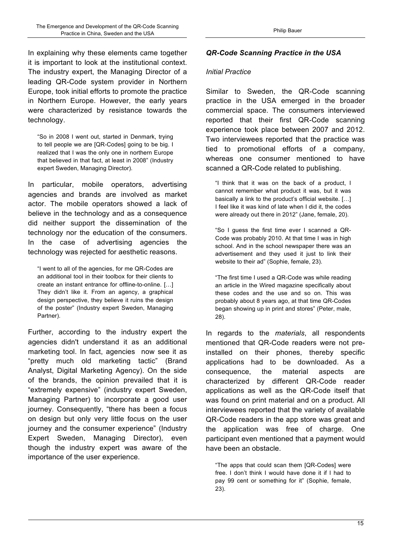In explaining why these elements came together it is important to look at the institutional context. The industry expert, the Managing Director of a leading QR-Code system provider in Northern Europe, took initial efforts to promote the practice in Northern Europe. However, the early years were characterized by resistance towards the technology.

"So in 2008 I went out, started in Denmark, trying to tell people we are [QR-Codes] going to be big. I realized that I was the only one in northern Europe that believed in that fact, at least in 2008" (Industry expert Sweden, Managing Director).

In particular, mobile operators, advertising agencies and brands are involved as market actor. The mobile operators showed a lack of believe in the technology and as a consequence did neither support the dissemination of the technology nor the education of the consumers. In the case of advertising agencies the technology was rejected for aesthetic reasons.

"I went to all of the agencies, for me QR-Codes are an additional tool in their toolbox for their clients to create an instant entrance for offline-to-online. […] They didn't like it. From an agency, a graphical design perspective, they believe it ruins the design of the poster" (Industry expert Sweden, Managing Partner).

Further, according to the industry expert the agencies didn't understand it as an additional marketing tool. In fact, agencies now see it as "pretty much old marketing tactic" (Brand Analyst, Digital Marketing Agency). On the side of the brands, the opinion prevailed that it is "extremely expensive" (industry expert Sweden, Managing Partner) to incorporate a good user journey. Consequently, "there has been a focus on design but only very little focus on the user journey and the consumer experience" (Industry Expert Sweden, Managing Director), even though the industry expert was aware of the importance of the user experience.

## *QR-Code Scanning Practice in the USA*

#### *Initial Practice*

Similar to Sweden, the QR-Code scanning practice in the USA emerged in the broader commercial space. The consumers interviewed reported that their first QR-Code scanning experience took place between 2007 and 2012. Two interviewees reported that the practice was tied to promotional efforts of a company, whereas one consumer mentioned to have scanned a QR-Code related to publishing.

"I think that it was on the back of a product, I cannot remember what product it was, but it was basically a link to the product's official website. […] I feel like it was kind of late when I did it, the codes were already out there in 2012" (Jane, female, 20).

"So I guess the first time ever I scanned a QR-Code was probably 2010. At that time I was in high school. And in the school newspaper there was an advertisement and they used it just to link their website to their ad" (Sophie, female, 23).

"The first time I used a QR-Code was while reading an article in the Wired magazine specifically about these codes and the use and so on. This was probably about 8 years ago, at that time QR-Codes began showing up in print and stores" (Peter, male, 28).

In regards to the *materials*, all respondents mentioned that QR-Code readers were not preinstalled on their phones, thereby specific applications had to be downloaded. As a consequence, the material aspects are characterized by different QR-Code reader applications as well as the QR-Code itself that was found on print material and on a product. All interviewees reported that the variety of available QR-Code readers in the app store was great and the application was free of charge. One participant even mentioned that a payment would have been an obstacle.

"The apps that could scan them [QR-Codes] were free. I don't think I would have done it if I had to pay 99 cent or something for it" (Sophie, female, 23).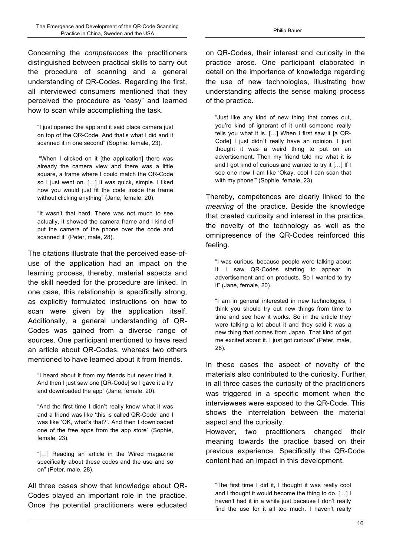Concerning the *competences* the practitioners distinguished between practical skills to carry out the procedure of scanning and a general understanding of QR-Codes. Regarding the first, all interviewed consumers mentioned that they perceived the procedure as "easy" and learned how to scan while accomplishing the task.

"I just opened the app and it said place camera just on top of the QR-Code. And that's what I did and it scanned it in one second" (Sophie, female, 23).

"When I clicked on it [the application] there was already the camera view and there was a little square, a frame where I could match the QR-Code so I just went on. […] It was quick, simple. I liked how you would just fit the code inside the frame without clicking anything" (Jane, female, 20).

"It wasn't that hard. There was not much to see actually, it showed the camera frame and I kind of put the camera of the phone over the code and scanned it" (Peter, male, 28).

The citations illustrate that the perceived ease-ofuse of the application had an impact on the learning process, thereby, material aspects and the skill needed for the procedure are linked. In one case, this relationship is specifically strong, as explicitly formulated instructions on how to scan were given by the application itself. Additionally, a general understanding of QR-Codes was gained from a diverse range of sources. One participant mentioned to have read an article about QR-Codes, whereas two others mentioned to have learned about it from friends.

"I heard about it from my friends but never tried it. And then I just saw one [QR-Code] so I gave it a try and downloaded the app" (Jane, female, 20).

"And the first time I didn't really know what it was and a friend was like 'this is called QR-Code' and I was like 'OK, what's that?'. And then I downloaded one of the free apps from the app store" (Sophie, female, 23).

"[…] Reading an article in the Wired magazine specifically about these codes and the use and so on" (Peter, male, 28).

All three cases show that knowledge about QR-Codes played an important role in the practice. Once the potential practitioners were educated

on QR-Codes, their interest and curiosity in the practice arose. One participant elaborated in detail on the importance of knowledge regarding the use of new technologies, illustrating how understanding affects the sense making process of the practice.

"Just like any kind of new thing that comes out, you're kind of ignorant of it until someone really tells you what it is. […] When I first saw it [a QR-Code] I just didn`t really have an opinion. I just thought it was a weird thing to put on an advertisement. Then my friend told me what it is and I got kind of curious and wanted to try it […] If I see one now I am like 'Okay, cool I can scan that with my phone'" (Sophie, female, 23).

Thereby, competences are clearly linked to the *meaning* of the practice. Beside the knowledge that created curiosity and interest in the practice, the novelty of the technology as well as the omnipresence of the QR-Codes reinforced this feeling.

"I was curious, because people were talking about it. I saw QR-Codes starting to appear in advertisement and on products. So I wanted to try it" (Jane, female, 20).

"I am in general interested in new technologies, I think you should try out new things from time to time and see how it works. So in the article they were talking a lot about it and they said it was a new thing that comes from Japan. That kind of got me excited about it. I just got curious" (Peter, male, 28).

In these cases the aspect of novelty of the materials also contributed to the curiosity. Further, in all three cases the curiosity of the practitioners was triggered in a specific moment when the interviewees were exposed to the QR-Code. This shows the interrelation between the material aspect and the curiosity.

However, two practitioners changed their meaning towards the practice based on their previous experience. Specifically the QR-Code content had an impact in this development.

"The first time I did it, I thought it was really cool and I thought it would become the thing to do. […] I haven't had it in a while just because I don't really find the use for it all too much. I haven't really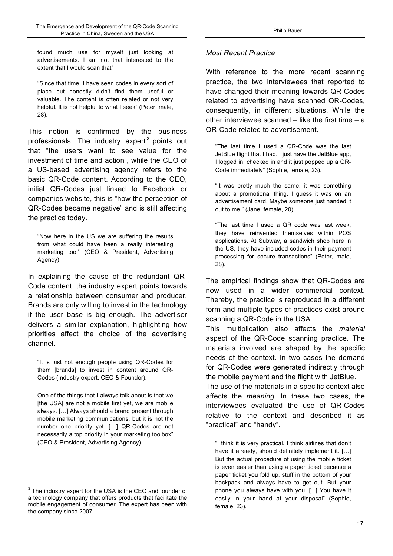found much use for myself just looking at advertisements. I am not that interested to the extent that I would scan that"

"Since that time, I have seen codes in every sort of place but honestly didn't find them useful or valuable. The content is often related or not very helpful. It is not helpful to what I seek" (Peter, male, 28).

This notion is confirmed by the business professionals. The industry expert $^3$  points out that "the users want to see value for the investment of time and action", while the CEO of a US-based advertising agency refers to the basic QR-Code content. According to the CEO, initial QR-Codes just linked to Facebook or companies website, this is "how the perception of QR-Codes became negative" and is still affecting the practice today.

"Now here in the US we are suffering the results from what could have been a really interesting marketing tool" (CEO & President, Advertising Agency).

In explaining the cause of the redundant QR-Code content, the industry expert points towards a relationship between consumer and producer. Brands are only willing to invest in the technology if the user base is big enough. The advertiser delivers a similar explanation, highlighting how priorities affect the choice of the advertising channel.

"It is just not enough people using QR-Codes for them [brands] to invest in content around QR-Codes (Industry expert, CEO & Founder).

One of the things that I always talk about is that we [the USA] are not a mobile first yet, we are mobile always. […] Always should a brand present through mobile marketing communications, but it is not the number one priority yet. […] QR-Codes are not necessarily a top priority in your marketing toolbox" (CEO & President, Advertising Agency).

#### *Most Recent Practice*

With reference to the more recent scanning practice, the two interviewees that reported to have changed their meaning towards QR-Codes related to advertising have scanned QR-Codes, consequently, in different situations. While the other interviewee scanned  $-$  like the first time  $- a$ QR-Code related to advertisement.

"The last time I used a QR-Code was the last JetBlue flight that I had. I just have the JetBlue app, I logged in, checked in and it just popped up a QR-Code immediately" (Sophie, female, 23).

"It was pretty much the same, it was something about a promotional thing, I guess it was on an advertisement card. Maybe someone just handed it out to me." (Jane, female, 20).

"The last time I used a QR code was last week, they have reinvented themselves within POS applications. At Subway, a sandwich shop here in the US, they have included codes in their payment processing for secure transactions" (Peter, male, 28).

The empirical findings show that QR-Codes are now used in a wider commercial context. Thereby, the practice is reproduced in a different form and multiple types of practices exist around scanning a QR-Code in the USA.

This multiplication also affects the *material* aspect of the QR-Code scanning practice. The materials involved are shaped by the specific needs of the context. In two cases the demand for QR-Codes were generated indirectly through the mobile payment and the flight with JetBlue.

The use of the materials in a specific context also affects the *meaning*. In these two cases, the interviewees evaluated the use of QR-Codes relative to the context and described it as "practical" and "handy".

"I think it is very practical. I think airlines that don't have it already, should definitely implement it. [...] But the actual procedure of using the mobile ticket is even easier than using a paper ticket because a paper ticket you fold up, stuff in the bottom of your backpack and always have to get out. But your phone you always have with you. [...] You have it easily in your hand at your disposal" (Sophie, female, 23).

 $3$  The industry expert for the USA is the CEO and founder of a technology company that offers products that facilitate the mobile engagement of consumer. The expert has been with the company since 2007.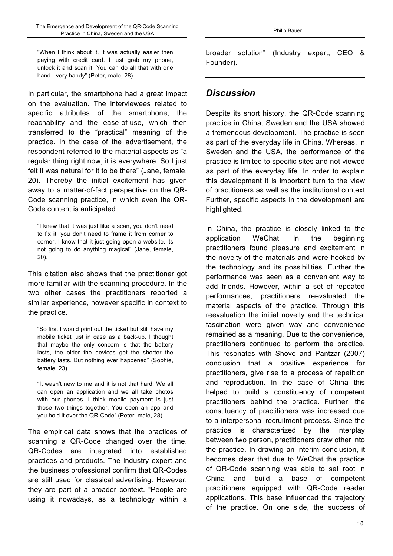"When I think about it, it was actually easier then paying with credit card. I just grab my phone, unlock it and scan it. You can do all that with one hand - very handy" (Peter, male, 28).

In particular, the smartphone had a great impact on the evaluation. The interviewees related to specific attributes of the smartphone, the reachability and the ease-of-use, which then transferred to the "practical" meaning of the practice. In the case of the advertisement, the respondent referred to the material aspects as "a regular thing right now, it is everywhere. So I just felt it was natural for it to be there" (Jane, female, 20). Thereby the initial excitement has given away to a matter-of-fact perspective on the QR-Code scanning practice, in which even the QR-Code content is anticipated.

"I knew that it was just like a scan, you don't need to fix it, you don't need to frame it from corner to corner. I know that it just going open a website, its not going to do anything magical" (Jane, female, 20).

This citation also shows that the practitioner got more familiar with the scanning procedure. In the two other cases the practitioners reported a similar experience, however specific in context to the practice.

"So first I would print out the ticket but still have my mobile ticket just in case as a back-up. I thought that maybe the only concern is that the battery lasts, the older the devices get the shorter the battery lasts. But nothing ever happened" (Sophie, female, 23).

"It wasn't new to me and it is not that hard. We all can open an application and we all take photos with our phones. I think mobile payment is just those two things together. You open an app and you hold it over the QR-Code" (Peter, male, 28).

The empirical data shows that the practices of scanning a QR-Code changed over the time. QR-Codes are integrated into established practices and products. The industry expert and the business professional confirm that QR-Codes are still used for classical advertising. However, they are part of a broader context. "People are using it nowadays, as a technology within a

broader solution" (Industry expert, CEO & Founder).

# *Discussion*

Despite its short history, the QR-Code scanning practice in China, Sweden and the USA showed a tremendous development. The practice is seen as part of the everyday life in China. Whereas, in Sweden and the USA, the performance of the practice is limited to specific sites and not viewed as part of the everyday life. In order to explain this development it is important turn to the view of practitioners as well as the institutional context. Further, specific aspects in the development are highlighted.

In China, the practice is closely linked to the application WeChat. In the beginning practitioners found pleasure and excitement in the novelty of the materials and were hooked by the technology and its possibilities. Further the performance was seen as a convenient way to add friends. However, within a set of repeated performances, practitioners reevaluated the material aspects of the practice. Through this reevaluation the initial novelty and the technical fascination were given way and convenience remained as a meaning. Due to the convenience, practitioners continued to perform the practice. This resonates with Shove and Pantzar (2007) conclusion that a positive experience for practitioners, give rise to a process of repetition and reproduction. In the case of China this helped to build a constituency of competent practitioners behind the practice. Further, the constituency of practitioners was increased due to a interpersonal recruitment process. Since the practice is characterized by the interplay between two person, practitioners draw other into the practice. In drawing an interim conclusion, it becomes clear that due to WeChat the practice of QR-Code scanning was able to set root in China and build a base of competent practitioners equipped with QR-Code reader applications. This base influenced the trajectory of the practice. On one side, the success of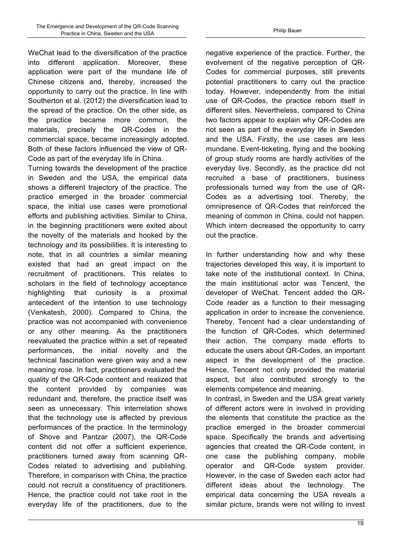WeChat lead to the diversification of the practice into different application. Moreover, these application were part of the mundane life of Chinese citizens and, thereby, increased the opportunity to carry out the practice. In line with Southerton et al. (2012) the diversification lead to the spread of the practice. On the other side, as the practice became more common, the materials, precisely the QR-Codes in the commercial space, became increasingly adopted. Both of these factors influenced the view of QR-Code as part of the everyday life in China.

Turning towards the development of the practice in Sweden and the USA, the empirical data shows a different trajectory of the practice. The practice emerged in the broader commercial space, the initial use cases were promotional efforts and publishing activities. Similar to China, in the beginning practitioners were exited about the novelty of the materials and hooked by the technology and its possibilities. It is interesting to note, that in all countries a similar meaning existed that had an great impact on the recruitment of practitioners. This relates to scholars in the field of technology acceptance highlighting that curiosity is a proximal antecedent of the intention to use technology (Venkatesh, 2000). Compared to China, the practice was not accompanied with convenience or any other meaning. As the practitioners reevaluated the practice within a set of repeated performances, the initial novelty and the technical fascination were given way and a new meaning rose. In fact, practitioners evaluated the quality of the QR-Code content and realized that the content provided by companies was redundant and, therefore, the practice itself was seen as unnecessary. This interrelation shows that the technology use is affected by previous performances of the practice. In the terminology of Shove and Pantzar (2007), the QR-Code content did not offer a sufficient experience, practitioners turned away from scanning QR-Codes related to advertising and publishing. Therefore, in comparison with China, the practice could not recruit a constituency of practitioners. Hence, the practice could not take root in the everyday life of the practitioners, due to the negative experience of the practice. Further, the evolvement of the negative perception of QR-Codes for commercial purposes, still prevents potential practitioners to carry out the practice today. However, independently from the initial use of QR-Codes, the practice reborn itself in different sites. Nevertheless, compared to China two factors appear to explain why QR-Codes are not seen as part of the everyday life in Sweden and the USA. Firstly, the use cases are less mundane. Event-ticketing, flying and the booking of group study rooms are hardly activities of the everyday live. Secondly, as the practice did not recruited a base of practitioners, business professionals turned way from the use of QR-Codes as a advertising tool. Thereby, the omnipresence of QR-Codes that reinforced the meaning of common in China, could not happen. Which intern decreased the opportunity to carry out the practice.

In further understanding how and why these trajectories developed this way, it is important to take note of the institutional context. In China, the main institutional actor was Tencent, the developer of WeChat. Tencent added the QR-Code reader as a function to their messaging application in order to increase the convenience. Thereby, Tencent had a clear understanding of the function of QR-Codes, which determined their action. The company made efforts to educate the users about QR-Codes, an important aspect in the development of the practice. Hence, Tencent not only provided the material aspect, but also contributed strongly to the elements competence and meaning.

In contrast, in Sweden and the USA great variety of different actors were in involved in providing the elements that constitute the practice as the practice emerged in the broader commercial space. Specifically the brands and advertising agencies that created the QR-Code content, in one case the publishing company, mobile operator and QR-Code system provider. However, in the case of Sweden each actor had different ideas about the technology. The empirical data concerning the USA reveals a similar picture, brands were not willing to invest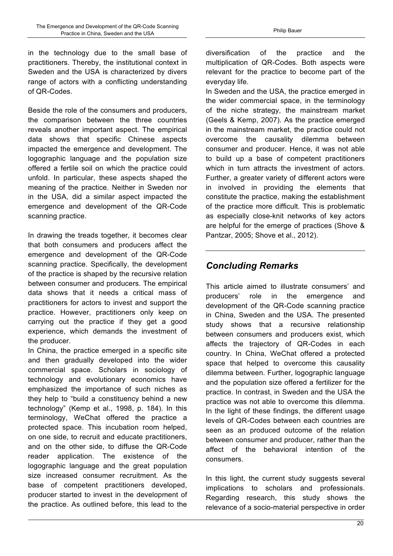in the technology due to the small base of practitioners. Thereby, the institutional context in Sweden and the USA is characterized by divers range of actors with a conflicting understanding of QR-Codes.

Beside the role of the consumers and producers, the comparison between the three countries reveals another important aspect. The empirical data shows that specific Chinese aspects impacted the emergence and development. The logographic language and the population size offered a fertile soil on which the practice could unfold. In particular, these aspects shaped the meaning of the practice. Neither in Sweden nor in the USA, did a similar aspect impacted the emergence and development of the QR-Code scanning practice.

In drawing the treads together, it becomes clear that both consumers and producers affect the emergence and development of the QR-Code scanning practice. Specifically, the development of the practice is shaped by the recursive relation between consumer and producers. The empirical data shows that it needs a critical mass of practitioners for actors to invest and support the practice. However, practitioners only keep on carrying out the practice if they get a good experience, which demands the investment of the producer.

In China, the practice emerged in a specific site and then gradually developed into the wider commercial space. Scholars in sociology of technology and evolutionary economics have emphasized the importance of such niches as they help to "build a constituency behind a new technology" (Kemp et al., 1998, p. 184). In this terminology, WeChat offered the practice a protected space. This incubation room helped, on one side, to recruit and educate practitioners, and on the other side, to diffuse the QR-Code reader application. The existence of the logographic language and the great population size increased consumer recruitment. As the base of competent practitioners developed, producer started to invest in the development of the practice. As outlined before, this lead to the diversification of the practice and the multiplication of QR-Codes. Both aspects were relevant for the practice to become part of the everyday life.

In Sweden and the USA, the practice emerged in the wider commercial space, in the terminology of the niche strategy, the mainstream market (Geels & Kemp, 2007). As the practice emerged in the mainstream market, the practice could not overcome the causality dilemma between consumer and producer. Hence, it was not able to build up a base of competent practitioners which in turn attracts the investment of actors. Further, a greater variety of different actors were in involved in providing the elements that constitute the practice, making the establishment of the practice more difficult. This is problematic as especially close-knit networks of key actors are helpful for the emerge of practices (Shove & Pantzar, 2005; Shove et al., 2012).

# *Concluding Remarks*

This article aimed to illustrate consumers' and producers' role in the emergence and development of the QR-Code scanning practice in China, Sweden and the USA. The presented study shows that a recursive relationship between consumers and producers exist, which affects the trajectory of QR-Codes in each country. In China, WeChat offered a protected space that helped to overcome this causality dilemma between. Further, logographic language and the population size offered a fertilizer for the practice. In contrast, in Sweden and the USA the practice was not able to overcome this dilemma. In the light of these findings, the different usage levels of QR-Codes between each countries are seen as an produced outcome of the relation between consumer and producer, rather than the affect of the behavioral intention of the consumers.

In this light, the current study suggests several implications to scholars and professionals. Regarding research, this study shows the relevance of a socio-material perspective in order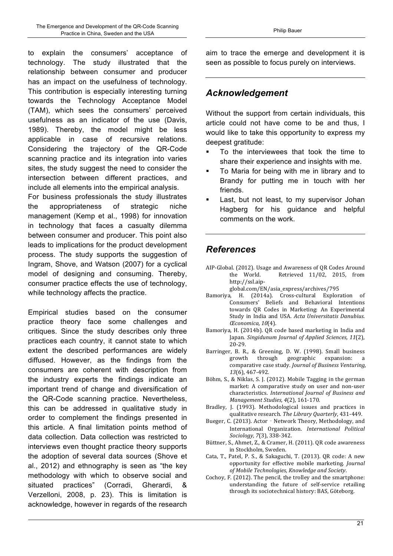to explain the consumers' acceptance of technology. The study illustrated that the relationship between consumer and producer has an impact on the usefulness of technology. This contribution is especially interesting turning towards the Technology Acceptance Model (TAM), which sees the consumers' perceived usefulness as an indicator of the use (Davis, 1989). Thereby, the model might be less applicable in case of recursive relations. Considering the trajectory of the QR-Code scanning practice and its integration into varies sites, the study suggest the need to consider the intersection between different practices, and include all elements into the empirical analysis.

For business professionals the study illustrates the appropriateness of strategic niche management (Kemp et al., 1998) for innovation in technology that faces a casualty dilemma between consumer and producer. This point also leads to implications for the product development process. The study supports the suggestion of Ingram, Shove, and Watson (2007) for a cyclical model of designing and consuming. Thereby, consumer practice effects the use of technology, while technology affects the practice.

Empirical studies based on the consumer practice theory face some challenges and critiques. Since the study describes only three practices each country, it cannot state to which extent the described performances are widely diffused. However, as the findings from the consumers are coherent with description from the industry experts the findings indicate an important trend of change and diversification of the QR-Code scanning practice. Nevertheless, this can be addressed in qualitative study in order to complement the findings presented in this article. A final limitation points method of data collection. Data collection was restricted to interviews even thought practice theory supports the adoption of several data sources (Shove et al., 2012) and ethnography is seen as "the key methodology with which to observe social and situated practices" (Corradi, Gherardi, Verzelloni, 2008, p. 23). This is limitation is acknowledge, however in regards of the research aim to trace the emerge and development it is seen as possible to focus purely on interviews.

# *Acknowledgement*

Without the support from certain individuals, this article could not have come to be and thus, I would like to take this opportunity to express my deepest gratitude:

- ! To the interviewees that took the time to share their experience and insights with me.
- ! To Maria for being with me in library and to Brandy for putting me in touch with her friends.
- Last, but not least, to my supervisor Johan Hagberg for his guidance and helpful comments on the work.

# *References*

- AIP-Global. (2012). Usage and Awareness of QR Codes Around the World. Retrieved 11/02, 2015, from http://ssl.aip
	- global.com/EN/asia\_express/archives/795
- Bamoriya, H. (2014a). Cross-cultural Exploration of Consumers' Beliefs and Behavioral Intentions towards OR Codes in Marketing: An Experimental Study in India and USA. *Acta Universitatis Danubius. Œconomica, 10*(4).
- Bamoriya, H. (2014b). QR code based marketing in India and Japan. *Singidunum Journal of Applied Sciences, 11*(2), 20-29.
- Barringer, B. R., & Greening, D. W. (1998). Small business growth through geographic expansion: a comparative case study. *Journal of Business Venturing*, *13*(6), 467-492.
- Böhm, S., & Niklas, S. J. (2012). Mobile Tagging in the german market: A comparative study on user and non-user characteristics. *International Journal of Business and Management Studies, 4*(2), 161-170.
- Bradley, J. (1993). Methodological issues and practices in qualitative research. The Library Quarterly, 431-449.
- Bueger, C. (2013). Actor Network Theory, Methodology, and International Organization. *International Political Sociology, 7*(3), 338-342.
- Büttner, S., Ahmet, Z., & Cramer, H. (2011). QR code awareness in Stockholm, Sweden.
- Cata, T., Patel, P. S., & Sakaguchi, T. (2013). QR code: A new opportunity for effective mobile marketing. *Journal of Mobile Technologies, Knowledge and Society*.
- Cochoy, F. (2012). The pencil, the trolley and the smartphone: understanding the future of self-service retailing through its sociotechnical history: BAS, Göteborg.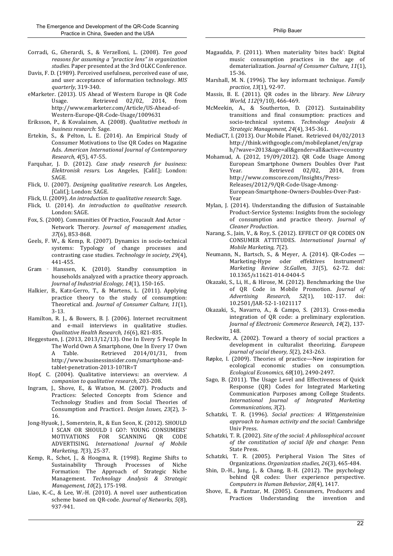- Corradi, G., Gherardi, S., & Verzelloni, L. (2008). Ten good *reasons for assuming a "practice lens" in organization* studies. Paper presented at the 3rd OLKC Conference.
- Davis, F. D. (1989). Perceived usefulness, perceived ease of use, and user acceptance of information technology. MIS *quarterly*, 319-340.
- eMarketer. (2013). US Ahead of Western Europe in QR Code Usage. Retrieved 02/02, 2014, from http://www.emarketer.com/Article/US-Ahead-of-Western-Europe-QR-Code-Usage/1009631
- Eriksson, P., & Kovalainen, A. (2008). *Qualitative methods in business research*: Sage.
- Ertekin, S., & Pelton, L. E. (2014). An Empirical Study of Consumer Motivations to Use QR Codes on Magazine Ads. *American International Journal of Contemporary Research, 4*(5), 47-55.
- Farquhar, J. D. (2012). *Case study research for business: Elektronisk resurs*. Los Angeles, [Calif.]; London: SAGE.
- Flick, U. (2007). *Designing qualitative research*. Los Angeles, [Calif.]; London: SAGE.
- Flick, U. (2009). An introduction to qualitative research: Sage.
- Flick, U. (2014). An introduction to qualitative research. London: SAGE.
- Fox, S. (2000). Communities Of Practice, Foucault And Actor -Network Therory. *Journal of management studies*, *37*(6), 853-868.
- Geels, F. W., & Kemp, R. (2007). Dynamics in socio-technical systems: Typology of change processes and contrasting case studies. Technology in society, 29(4), 441-455.
- Gram Hanssen, K. (2010). Standby consumption in households analyzed with a practice theory approach. *Journal of Industrial Ecology, 14*(1), 150-165.
- Halkier, B., Katz-Gerro, T., & Martens, L. (2011). Applying practice theory to the study of consumption: Theoretical and. *Journal of Consumer Culture, 11*(1), 3-13.
- Hamilton, R. J., & Bowers, B. J. (2006). Internet recruitment and e-mail interviews in qualitative studies. *Qualitative Health Research, 16*(6), 821-835.
- Heggestuen, J. (2013, 2013/12/13). One In Every 5 People In The World Own A Smartphone, One In Every 17 Own A Table. Retrieved 2014/01/31, from http://www.businessinsider.com/smartphone-andtablet-penetration-2013-10?IR=T
- Hopf, C. (2004). Qualitative interviews: an overview. A *companion to qualitative research*, 203-208.
- Ingram, J., Shove, E., & Watson, M. (2007). Products and Practices: Selected Concepts from Science and Technology Studies and from Social Theories of Consumption and Practice1. *Design Issues, 23*(2), 3-16.
- Jong-Hyuok, J., Somerstein, R., & Eun Seon, K. (2012). SHOULD I SCAN OR SHOULD I GO?: YOUNG CONSUMERS' MOTIVATIONS FOR SCANNING QR CODE ADVERTISING. *International Journal of Mobile Marketing, 7*(3), 25-37.
- Kemp, R., Schot, J., & Hoogma, R. (1998). Regime Shifts to Sustainability Through Processes of Niche Formation: The Approach of Strategic Niche Management. *Technology Analysis & Strategic Management,* 10(2), 175-198.
- Liao, K.-C., & Lee, W.-H. (2010). A novel user authentication scheme based on QR-code. *Journal of Networks*, 5(8), 937-941.
- Magaudda, P. (2011). When materiality 'bites back': Digital music consumption practices in the age of dematerialization. *Journal of Consumer Culture, 11*(1), 15-36.
- Marshall, M. N. (1996). The key informant technique. *Family practice, 13*(1), 92-97.
- Massis, B. E. (2011). QR codes in the library. *New Library World,* 112(9/10), 466-469.
- McMeekin, A., & Southerton, D. (2012). Sustainability transitions and final consumption: practices and socio-technical systems. *Technology Analysis & Strategic Management, 24*(4), 345-361.
- MediaCT, I. (2013). Our Mobile Planet. Retrieved 04/02/2013 http://think.withgoogle.com/mobileplanet/en/grap h/?wave=2013&age=all&gender=all&active=country
- Mohamud, A. (2012, 19/09/2012). QR Code Usage Among European Smartphone Owners Doubles Over Past Year. Retrieved 02/02, 2014, from http://www.comscore.com/Insights/Press-Releases/2012/9/QR-Code-Usage-Among-European-Smartphone-Owners-Doubles-Over-Past-Year
- Mylan, J. (2014). Understanding the diffusion of Sustainable Product-Service Systems: Insights from the sociology of consumption and practice theory. *Journal of Cleaner Production*.
- Narang, S., Jain, V., & Roy, S. (2012). EFFECT OF QR CODES ON CONSUMER ATTITUDES. *International Journal of Mobile Marketing, 7*(2).
- Neumann, N., Bartsch, S., & Meyer, A. (2014). QR-Codes -Marketing-Hype oder effektives Instrument? *Marketing Review St.Gallen, 31*(5), 62-72. doi: 10.1365/s11621-014-0404-5
- Okazaki, S., Li, H., & Hirose, M. (2012). Benchmarking the Use of QR Code in Mobile Promotion. *Journal of Advertising Research, 52*(1), 102-117. doi: 10.2501/JAR-52-1-1021117
- Okazaki, S., Navarro, A., & Campo, S. (2013). Cross-media integration of OR code: a preliminary exploration. *Journal of Electronic Commerce Research, 14*(2), 137- 148.
- Reckwitz, A. (2002). Toward a theory of social practices a development in culturalist theorizing. *European* journal of social theory, 5(2), 243-263.
- Røpke, I. (2009). Theories of practice—New inspiration for ecological economic studies on consumption. *Ecological Economics, 68*(10), 2490-2497.
- Sago, B. (2011). The Usage Level and Effectiveness of Quick Response (QR) Codes for Integrated Marketing Communication Purposes among College Students. *International Journal of Integrated Marketing Communications, 3*(2).
- Schatzki, T. R. (1996). *Social practices: A Wittgensteinian approach to human activity and the social*: Cambridge Univ Press.
- Schatzki, T. R. (2002). *Site of the social: A philosophical account of the constitution of social life and change*: Penn State Press.
- Schatzki, T. R. (2005). Peripheral Vision The Sites of Organizations. *Organization studies, 26*(3), 465-484.
- Shin, D.-H., Jung, J., & Chang, B.-H. (2012). The psychology behind QR codes: User experience perspective. *Computers in Human Behavior, 28*(4), 1417.
- Shove, E., & Pantzar, M. (2005). Consumers, Producers and Practices Understanding the invention and